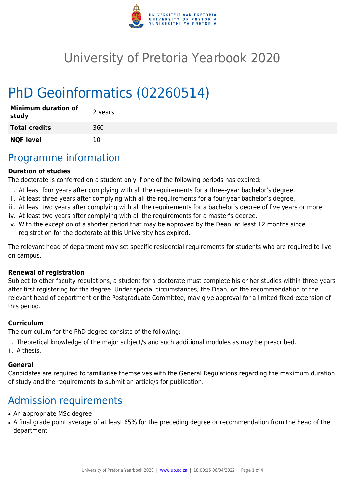

# University of Pretoria Yearbook 2020

# PhD Geoinformatics (02260514)

| <b>Minimum duration of</b><br>study | 2 years |
|-------------------------------------|---------|
| <b>Total credits</b>                | 360     |
| <b>NQF level</b>                    | 10      |

### Programme information

#### **Duration of studies**

The doctorate is conferred on a student only if one of the following periods has expired:

- i. At least four years after complying with all the requirements for a three-year bachelor's degree.
- ii. At least three years after complying with all the requirements for a four-year bachelor's degree.
- iii. At least two years after complying with all the requirements for a bachelor's degree of five years or more.
- iv. At least two years after complying with all the requirements for a master's degree.
- v. With the exception of a shorter period that may be approved by the Dean, at least 12 months since registration for the doctorate at this University has expired.

The relevant head of department may set specific residential requirements for students who are required to live on campus.

#### **Renewal of registration**

Subject to other faculty regulations, a student for a doctorate must complete his or her studies within three years after first registering for the degree. Under special circumstances, the Dean, on the recommendation of the relevant head of department or the Postgraduate Committee, may give approval for a limited fixed extension of this period.

#### **Curriculum**

The curriculum for the PhD degree consists of the following:

- i. Theoretical knowledge of the major subject/s and such additional modules as may be prescribed.
- ii. A thesis.

### **General**

Candidates are required to familiarise themselves with the General Regulations regarding the maximum duration of study and the requirements to submit an article/s for publication.

## Admission requirements

- An appropriate MSc degree
- A final grade point average of at least 65% for the preceding degree or recommendation from the head of the department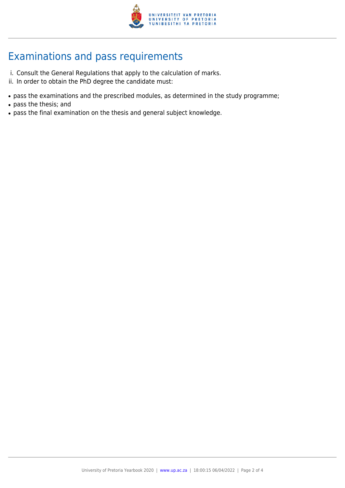

## Examinations and pass requirements

- i. Consult the General Regulations that apply to the calculation of marks.
- ii. In order to obtain the PhD degree the candidate must:
- pass the examinations and the prescribed modules, as determined in the study programme;
- pass the thesis; and
- pass the final examination on the thesis and general subject knowledge.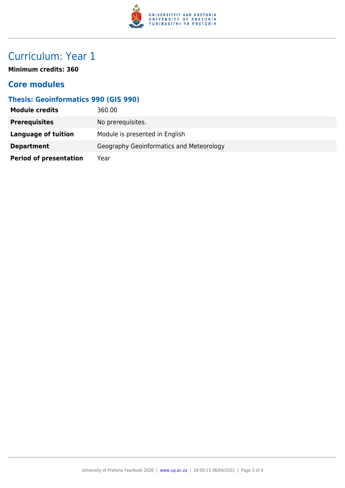

## Curriculum: Year 1

**Minimum credits: 360**

### **Core modules**

### **Thesis: Geoinformatics 990 (GIS 990)**

| <b>Module credits</b>         | 360.00                                   |
|-------------------------------|------------------------------------------|
| <b>Prerequisites</b>          | No prerequisites.                        |
| <b>Language of tuition</b>    | Module is presented in English           |
| <b>Department</b>             | Geography Geoinformatics and Meteorology |
| <b>Period of presentation</b> | Year                                     |